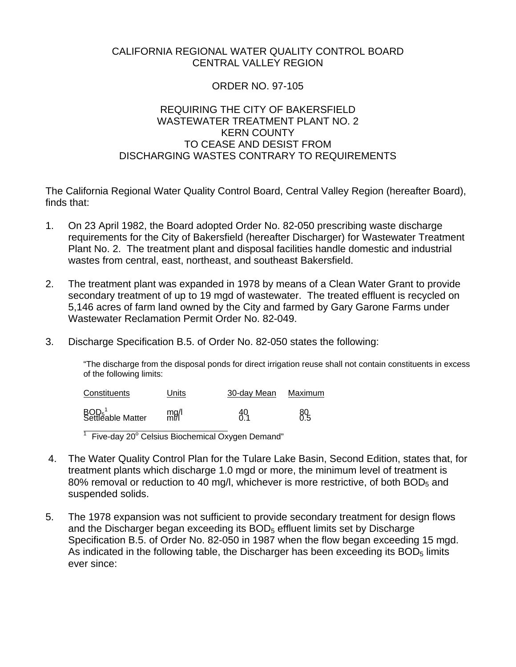# CALIFORNIA REGIONAL WATER QUALITY CONTROL BOARD CENTRAL VALLEY REGION

## ORDER NO. 97-105

## REQUIRING THE CITY OF BAKERSFIELD WASTEWATER TREATMENT PLANT NO. 2 KERN COUNTY TO CEASE AND DESIST FROM DISCHARGING WASTES CONTRARY TO REQUIREMENTS

The California Regional Water Quality Control Board, Central Valley Region (hereafter Board), finds that:

- 1. On 23 April 1982, the Board adopted Order No. 82-050 prescribing waste discharge requirements for the City of Bakersfield (hereafter Discharger) for Wastewater Treatment Plant No. 2. The treatment plant and disposal facilities handle domestic and industrial wastes from central, east, northeast, and southeast Bakersfield.
- 2. The treatment plant was expanded in 1978 by means of a Clean Water Grant to provide secondary treatment of up to 19 mgd of wastewater. The treated effluent is recycled on 5,146 acres of farm land owned by the City and farmed by Gary Garone Farms under Wastewater Reclamation Permit Order No. 82-049.
- 3. Discharge Specification B.5. of Order No. 82-050 states the following:

"The discharge from the disposal ponds for direct irrigation reuse shall not contain constituents in excess of the following limits:

| Constituents                                       | Units | 30-dav Mean | Maximum   |  |
|----------------------------------------------------|-------|-------------|-----------|--|
| BOD <sub>5</sub> <sup>1</sup><br>Settleable Matter | mgl   | 49          | 80<br>0.5 |  |

<sup>1</sup> Five-day 20 $^{\circ}$  Celsius Biochemical Oxygen Demand"

 $\overline{a}$ 

- 4. The Water Quality Control Plan for the Tulare Lake Basin, Second Edition, states that, for treatment plants which discharge 1.0 mgd or more, the minimum level of treatment is 80% removal or reduction to 40 mg/l, whichever is more restrictive, of both  $BOD<sub>5</sub>$  and suspended solids.
- 5. The 1978 expansion was not sufficient to provide secondary treatment for design flows and the Discharger began exceeding its BOD<sub>5</sub> effluent limits set by Discharge Specification B.5. of Order No. 82-050 in 1987 when the flow began exceeding 15 mgd. As indicated in the following table, the Discharger has been exceeding its  $BOD<sub>5</sub>$  limits ever since: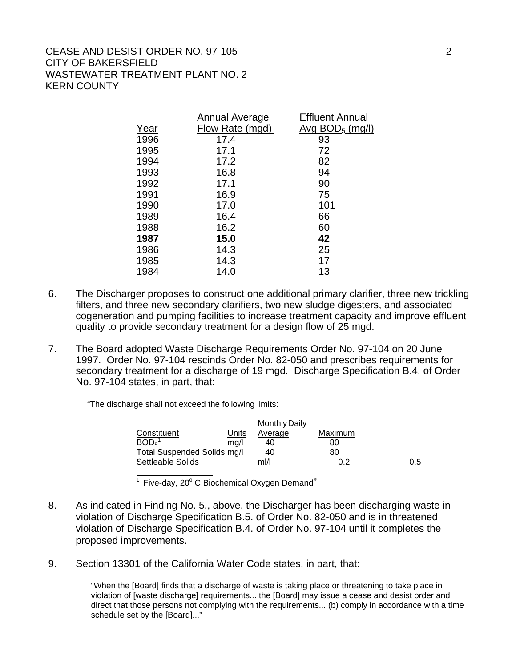## CEASE AND DESIST ORDER NO. 97-105 CITY OF BAKERSFIELD WASTEWATER TREATMENT PLANT NO. 2 KERN COUNTY

|              | Annual Average  | Effluent Annual             |
|--------------|-----------------|-----------------------------|
| Ye <u>ar</u> | Flow Rate (mgd) | Avg BOD <sub>5</sub> (mq/l) |
| 1996         | 17.4            | 93                          |
| 1995         | 17.1            | 72                          |
| 1994         | 17.2            | 82                          |
| 1993         | 16.8            | 94                          |
| 1992         | 17.1            | 90                          |
| 1991         | 16.9            | 75                          |
| 1990         | 17.0            | 101                         |
| 1989         | 16.4            | 66                          |
| 1988         | 16.2            | 60                          |
| 1987         | 15.0            | 42                          |
| 1986         | 14.3            | 25                          |
| 1985         | 14.3            | 17                          |
| 1984         | 14.0            | 13                          |
|              |                 |                             |

- 6. The Discharger proposes to construct one additional primary clarifier, three new trickling filters, and three new secondary clarifiers, two new sludge digesters, and associated cogeneration and pumping facilities to increase treatment capacity and improve effluent quality to provide secondary treatment for a design flow of 25 mgd.
- 7. The Board adopted Waste Discharge Requirements Order No. 97-104 on 20 June 1997. Order No. 97-104 rescinds Order No. 82-050 and prescribes requirements for secondary treatment for a discharge of 19 mgd. Discharge Specification B.4. of Order No. 97-104 states, in part, that:

"The discharge shall not exceed the following limits:

|                               |       | Monthly Daily |         |     |
|-------------------------------|-------|---------------|---------|-----|
| Constituent                   | Units | Average       | Maximum |     |
| BOD <sub>5</sub> <sup>1</sup> | ma/l  | 40            | 80      |     |
| Total Suspended Solids mg/l   |       | 40            | 80      |     |
| Settleable Solids             |       | ml/l          | 0.2     | 0.5 |
|                               |       |               |         |     |

 $1$  Five-day, 20 $^{\circ}$  C Biochemical Oxygen Demand"

- 8. As indicated in Finding No. 5., above, the Discharger has been discharging waste in violation of Discharge Specification B.5. of Order No. 82-050 and is in threatened violation of Discharge Specification B.4. of Order No. 97-104 until it completes the proposed improvements.
- 9. Section 13301 of the California Water Code states, in part, that:

"When the [Board] finds that a discharge of waste is taking place or threatening to take place in violation of [waste discharge] requirements... the [Board] may issue a cease and desist order and direct that those persons not complying with the requirements... (b) comply in accordance with a time schedule set by the [Board]..."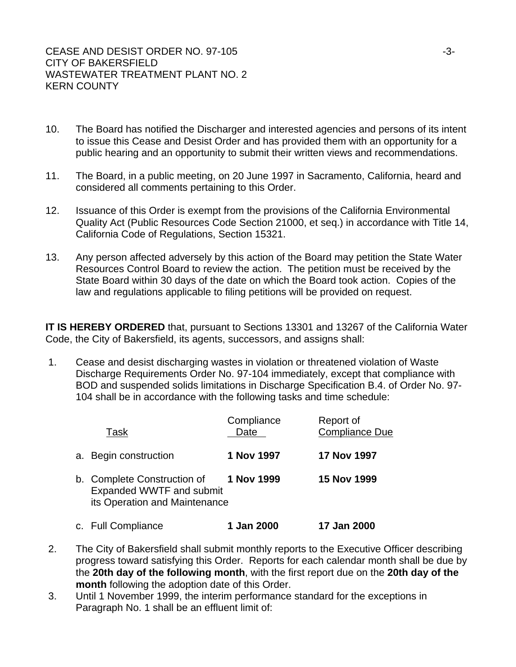- 10. The Board has notified the Discharger and interested agencies and persons of its intent to issue this Cease and Desist Order and has provided them with an opportunity for a public hearing and an opportunity to submit their written views and recommendations.
- 11. The Board, in a public meeting, on 20 June 1997 in Sacramento, California, heard and considered all comments pertaining to this Order.
- 12. Issuance of this Order is exempt from the provisions of the California Environmental Quality Act (Public Resources Code Section 21000, et seq.) in accordance with Title 14, California Code of Regulations, Section 15321.
- 13. Any person affected adversely by this action of the Board may petition the State Water Resources Control Board to review the action. The petition must be received by the State Board within 30 days of the date on which the Board took action. Copies of the law and regulations applicable to filing petitions will be provided on request.

**IT IS HEREBY ORDERED** that, pursuant to Sections 13301 and 13267 of the California Water Code, the City of Bakersfield, its agents, successors, and assigns shall:

 1. Cease and desist discharging wastes in violation or threatened violation of Waste Discharge Requirements Order No. 97-104 immediately, except that compliance with BOD and suspended solids limitations in Discharge Specification B.4. of Order No. 97- 104 shall be in accordance with the following tasks and time schedule:

| Task                                                                                     | Compliance<br>Date | Report of<br><b>Compliance Due</b> |
|------------------------------------------------------------------------------------------|--------------------|------------------------------------|
| a. Begin construction                                                                    | 1 Nov 1997         | <b>17 Nov 1997</b>                 |
| b. Complete Construction of<br>Expanded WWTF and submit<br>its Operation and Maintenance | 1 Nov 1999         | <b>15 Nov 1999</b>                 |
| c. Full Compliance                                                                       | 1 Jan 2000         | 17 Jan 2000                        |

- 2. The City of Bakersfield shall submit monthly reports to the Executive Officer describing progress toward satisfying this Order. Reports for each calendar month shall be due by the **20th day of the following month**, with the first report due on the **20th day of the month** following the adoption date of this Order.
- 3. Until 1 November 1999, the interim performance standard for the exceptions in Paragraph No. 1 shall be an effluent limit of: